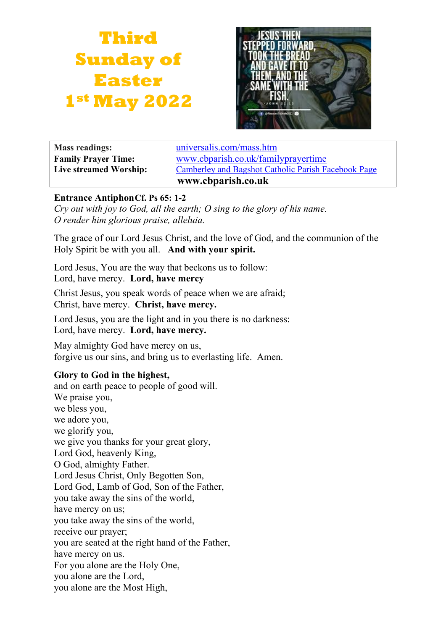# **Third Sunday of Easter 1st May 2022**



**Mass readings:** [universalis.com/mass.htm](https://universalis.com/mass.htm) **Family Prayer Time:** www.cbparish.co.uk/familyprayertime **Live streamed Worship:** [Camberley and Bagshot Catholic Parish Facebook Page](https://www.facebook.com/Camberley-Bagshot-Catholic-Parish-102099478101801/) **www.cbparish.co.uk**

# **Entrance Antiphon Cf. Ps 65: 1-2**

*Cry out with joy to God, all the earth; O sing to the glory of his name. O render him glorious praise, alleluia.* 

The grace of our Lord Jesus Christ, and the love of God, and the communion of the Holy Spirit be with you all. **And with your spirit.**

Lord Jesus, You are the way that beckons us to follow: Lord, have mercy. **Lord, have mercy**

Christ Jesus, you speak words of peace when we are afraid; Christ, have mercy. **Christ, have mercy.**

Lord Jesus, you are the light and in you there is no darkness: Lord, have mercy. **Lord, have mercy.**

May almighty God have mercy on us, forgive us our sins, and bring us to everlasting life. Amen.

# **Glory to God in the highest,**

and on earth peace to people of good will. We praise you, we bless you, we adore you, we glorify you, we give you thanks for your great glory, Lord God, heavenly King, O God, almighty Father. Lord Jesus Christ, Only Begotten Son, Lord God, Lamb of God, Son of the Father, you take away the sins of the world, have mercy on us; you take away the sins of the world, receive our prayer; you are seated at the right hand of the Father, have mercy on us. For you alone are the Holy One, you alone are the Lord, you alone are the Most High,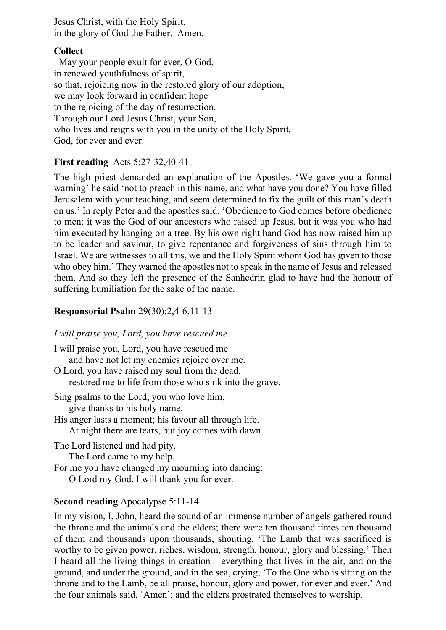Jesus Christ, with the Holy Spirit, in the glory of God the Father. Amen.

# **Collect**

May your people exult for ever, O God, in renewed youthfulness of spirit, so that, rejoicing now in the restored glory of our adoption, we may look forward in confident hope to the rejoicing of the day of resurrection. Through our Lord Jesus Christ, your Son, who lives and reigns with you in the unity of the Holy Spirit, God, for ever and ever.

# **First reading** Acts 5:27-32,40-41

The high priest demanded an explanation of the Apostles. 'We gave you a formal warning' he said 'not to preach in this name, and what have you done? You have filled Jerusalem with your teaching, and seem determined to fix the guilt of this man's death on us.' In reply Peter and the apostles said, 'Obedience to God comes before obedience to men; it was the God of our ancestors who raised up Jesus, but it was you who had him executed by hanging on a tree. By his own right hand God has now raised him up to be leader and saviour, to give repentance and forgiveness of sins through him to Israel. We are witnesses to all this, we and the Holy Spirit whom God has given to those who obey him.' They warned the apostles not to speak in the name of Jesus and released them. And so they left the presence of the Sanhedrin glad to have had the honour of suffering humiliation for the sake of the name.

# **Responsorial Psalm** 29(30):2,4-6,11-13

## *I will praise you, Lord, you have rescued me.*

| I will praise you, Lord, you have rescued me<br>and have not let my enemies rejoice over me.<br>O Lord, you have raised my soul from the dead,<br>restored me to life from those who sink into the grave. |
|-----------------------------------------------------------------------------------------------------------------------------------------------------------------------------------------------------------|
| Sing psalms to the Lord, you who love him,<br>give thanks to his holy name.<br>His anger lasts a moment; his favour all through life.<br>At night there are tears, but joy comes with dawn.               |
| The Lord listened and had pity.<br>The Lord came to my help.                                                                                                                                              |

For me you have changed my mourning into dancing: O Lord my God, I will thank you for ever.

## **Second reading** Apocalypse 5:11-14

In my vision, I, John, heard the sound of an immense number of angels gathered round the throne and the animals and the elders; there were ten thousand times ten thousand of them and thousands upon thousands, shouting, 'The Lamb that was sacrificed is worthy to be given power, riches, wisdom, strength, honour, glory and blessing.' Then I heard all the living things in creation – everything that lives in the air, and on the ground, and under the ground, and in the sea, crying, 'To the One who is sitting on the throne and to the Lamb, be all praise, honour, glory and power, for ever and ever.' And the four animals said, 'Amen'; and the elders prostrated themselves to worship.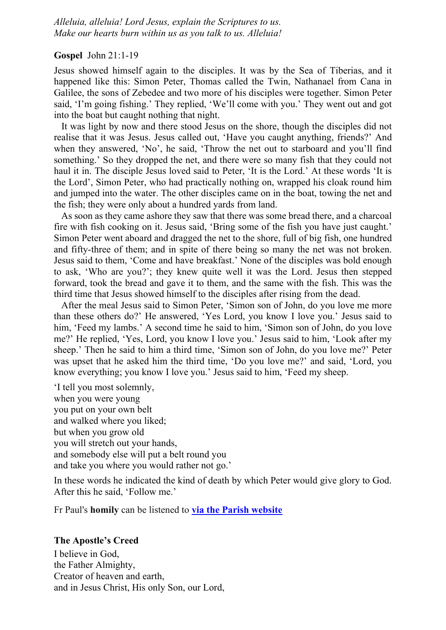#### *Alleluia, alleluia! Lord Jesus, explain the Scriptures to us. Make our hearts burn within us as you talk to us. Alleluia!*

#### **Gospel** John 21:1-19

Jesus showed himself again to the disciples. It was by the Sea of Tiberias, and it happened like this: Simon Peter, Thomas called the Twin, Nathanael from Cana in Galilee, the sons of Zebedee and two more of his disciples were together. Simon Peter said, 'I'm going fishing.' They replied, 'We'll come with you.' They went out and got into the boat but caught nothing that night.

It was light by now and there stood Jesus on the shore, though the disciples did not realise that it was Jesus. Jesus called out, 'Have you caught anything, friends?' And when they answered, 'No', he said, 'Throw the net out to starboard and you'll find something.' So they dropped the net, and there were so many fish that they could not haul it in. The disciple Jesus loved said to Peter, 'It is the Lord.' At these words 'It is the Lord', Simon Peter, who had practically nothing on, wrapped his cloak round him and jumped into the water. The other disciples came on in the boat, towing the net and the fish; they were only about a hundred yards from land.

As soon as they came ashore they saw that there was some bread there, and a charcoal fire with fish cooking on it. Jesus said, 'Bring some of the fish you have just caught.' Simon Peter went aboard and dragged the net to the shore, full of big fish, one hundred and fifty-three of them; and in spite of there being so many the net was not broken. Jesus said to them, 'Come and have breakfast.' None of the disciples was bold enough to ask, 'Who are you?'; they knew quite well it was the Lord. Jesus then stepped forward, took the bread and gave it to them, and the same with the fish. This was the third time that Jesus showed himself to the disciples after rising from the dead.

After the meal Jesus said to Simon Peter, 'Simon son of John, do you love me more than these others do?' He answered, 'Yes Lord, you know I love you.' Jesus said to him, 'Feed my lambs.' A second time he said to him, 'Simon son of John, do you love me?' He replied, 'Yes, Lord, you know I love you.' Jesus said to him, 'Look after my sheep.' Then he said to him a third time, 'Simon son of John, do you love me?' Peter was upset that he asked him the third time, 'Do you love me?' and said, 'Lord, you know everything; you know I love you.' Jesus said to him, 'Feed my sheep.

'I tell you most solemnly, when you were young you put on your own belt and walked where you liked; but when you grow old you will stretch out your hands, and somebody else will put a belt round you and take you where you would rather not go.'

In these words he indicated the kind of death by which Peter would give glory to God. After this he said, 'Follow me.'

Fr Paul's **homily** can be listened to **[via the Parish website](https://www.cbparish.co.uk/homilies)** 

## **The Apostle's Creed**

I believe in God, the Father Almighty, Creator of heaven and earth, and in Jesus Christ, His only Son, our Lord,